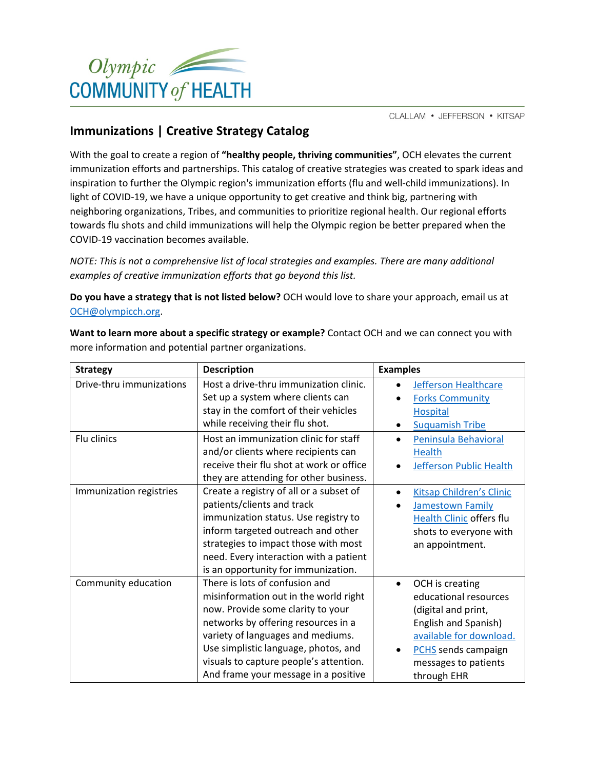

CLALLAM • JEFFERSON • KITSAP

through EHR

## **Immunizations | Creative Strategy Catalog**

With the goal to create a region of **"healthy people, thriving communities"**, OCH elevates the current immunization efforts and partnerships. This catalog of creative strategies was created to spark ideas and inspiration to further the Olympic region's immunization efforts (flu and well-child immunizations). In light of COVID-19, we have a unique opportunity to get creative and think big, partnering with neighboring organizations, Tribes, and communities to prioritize regional health. Our regional efforts towards flu shots and child immunizations will help the Olympic region be better prepared when the COVID-19 vaccination becomes available.

*NOTE: This is not a comprehensive list of local strategies and examples. There are many additional examples of creative immunization efforts that go beyond this list.*

**Do you have a strategy that is not listed below?** OCH would love to share your approach, email us at [OCH@olympicch.org.](mailto:OCH@olympicch.org)

more information and potential partner organizations. **Strategy Description Examples** Drive-thru immunizations | Host a drive-thru immunization clinic. Set up a system where clients can stay in the comfort of their vehicles while receiving their flu shot. • [Jefferson Healthcare](https://jeffersonhealthcare.org/news/flu-vaccination-are-now-available/) • [Forks Community](https://www.forkshospital.org/wp-content/uploads/Vacc-Clinic.pdf)  **[Hospital](https://www.forkshospital.org/wp-content/uploads/Vacc-Clinic.pdf)** • [Suquamish Tribe](https://static.wixstatic.com/media/ea40b8_a30e6e6cf5ef4557bde29cbf9ae2ffa2%7Emv2.jpg) Flu clinics **Host an immunization clinic for staff** and/or clients where recipients can receive their flu shot at work or office they are attending for other business. • [Peninsula Behavioral](https://peninsulabehavioral.org/)  [Health](https://peninsulabehavioral.org/) • [Jefferson Public Health](https://www.jeffersoncountypublichealth.org/496/Immunizations) Immunization registries  $\vert$  Create a registry of all or a subset of patients/clients and track immunization status. Use registry to inform targeted outreach and other strategies to impact those with most need. Every interaction with a patient is an opportunity for immunization. • [Kitsap Children's Clinic](https://www.kitsapchildrensclinic.com/) • [Jamestown](https://jamestownhealth.org/) Family [Health Clinic](https://jamestownhealth.org/) offers flu shots to everyone with an appointment. Community education  $\vert$  There is lots of confusion and misinformation out in the world right now. Provide some clarity to your networks by offering resources in a variety of languages and mediums. Use simplistic language, photos, and visuals to capture people's attention. • OCH is creating educational resources (digital and print, English and Spanish) [available for download.](http://olympicch.org/staystrong) • [PCHS](https://www.pchsweb.org/) sends campaign messages to patients

And frame your message in a positive

**Want to learn more about a specific strategy or example?** Contact OCH and we can connect you with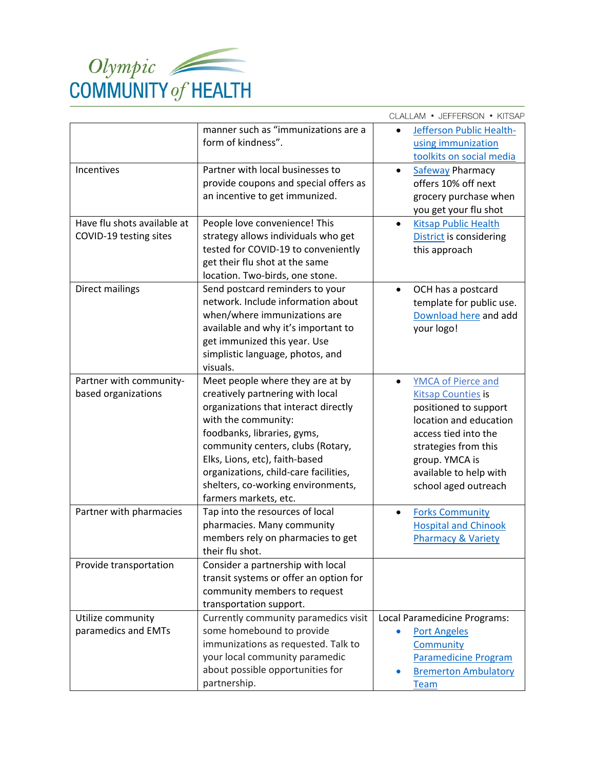

|                                                       |                                                                                                                                                                                                                                                                                                                                                   | CLALLAM • JEFFERSON • KITSAP                                                                                                                                                                                                  |
|-------------------------------------------------------|---------------------------------------------------------------------------------------------------------------------------------------------------------------------------------------------------------------------------------------------------------------------------------------------------------------------------------------------------|-------------------------------------------------------------------------------------------------------------------------------------------------------------------------------------------------------------------------------|
|                                                       | manner such as "immunizations are a<br>form of kindness".                                                                                                                                                                                                                                                                                         | Jefferson Public Health-<br>using immunization<br>toolkits on social media                                                                                                                                                    |
| Incentives                                            | Partner with local businesses to<br>provide coupons and special offers as<br>an incentive to get immunized.                                                                                                                                                                                                                                       | <b>Safeway Pharmacy</b><br>offers 10% off next<br>grocery purchase when<br>you get your flu shot                                                                                                                              |
| Have flu shots available at<br>COVID-19 testing sites | People love convenience! This<br>strategy allows individuals who get<br>tested for COVID-19 to conveniently<br>get their flu shot at the same<br>location. Two-birds, one stone.                                                                                                                                                                  | <b>Kitsap Public Health</b><br>$\bullet$<br>District is considering<br>this approach                                                                                                                                          |
| Direct mailings                                       | Send postcard reminders to your<br>network. Include information about<br>when/where immunizations are<br>available and why it's important to<br>get immunized this year. Use<br>simplistic language, photos, and<br>visuals.                                                                                                                      | OCH has a postcard<br>$\bullet$<br>template for public use.<br>Download here and add<br>your logo!                                                                                                                            |
| Partner with community-<br>based organizations        | Meet people where they are at by<br>creatively partnering with local<br>organizations that interact directly<br>with the community:<br>foodbanks, libraries, gyms,<br>community centers, clubs (Rotary,<br>Elks, Lions, etc), faith-based<br>organizations, child-care facilities,<br>shelters, co-working environments,<br>farmers markets, etc. | <b>YMCA of Pierce and</b><br><b>Kitsap Counties is</b><br>positioned to support<br>location and education<br>access tied into the<br>strategies from this<br>group. YMCA is<br>available to help with<br>school aged outreach |
| Partner with pharmacies                               | Tap into the resources of local<br>pharmacies. Many community<br>members rely on pharmacies to get<br>their flu shot.                                                                                                                                                                                                                             | <b>Forks Community</b><br><b>Hospital and Chinook</b><br><b>Pharmacy &amp; Variety</b>                                                                                                                                        |
| Provide transportation                                | Consider a partnership with local<br>transit systems or offer an option for<br>community members to request<br>transportation support.                                                                                                                                                                                                            |                                                                                                                                                                                                                               |
| Utilize community<br>paramedics and EMTs              | Currently community paramedics visit<br>some homebound to provide<br>immunizations as requested. Talk to<br>your local community paramedic<br>about possible opportunities for<br>partnership.                                                                                                                                                    | Local Paramedicine Programs:<br><b>Port Angeles</b><br>Community<br><b>Paramedicine Program</b><br><b>Bremerton Ambulatory</b><br>Team                                                                                        |